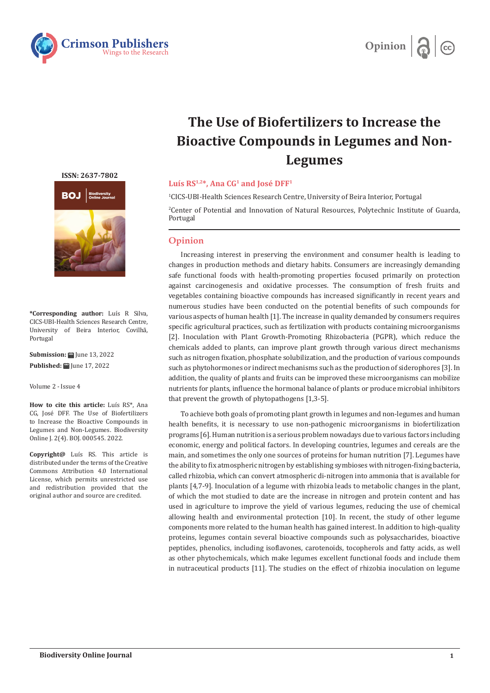



## **The Use of Biofertilizers to Increase the Bioactive Compounds in Legumes and Non-Legumes**

## Luís RS<sup>1,2\*</sup>, Ana CG<sup>1</sup> and José DFF<sup>1</sup>

1 CICS-UBI-Health Sciences Research Centre, University of Beira Interior, Portugal

2 Center of Potential and Innovation of Natural Resources, Polytechnic Institute of Guarda, Portugal

## **Opinion**

Increasing interest in preserving the environment and consumer health is leading to changes in production methods and dietary habits. Consumers are increasingly demanding safe functional foods with health-promoting properties focused primarily on protection against carcinogenesis and oxidative processes. The consumption of fresh fruits and vegetables containing bioactive compounds has increased significantly in recent years and numerous studies have been conducted on the potential benefits of such compounds for various aspects of human health [1]. The increase in quality demanded by consumers requires specific agricultural practices, such as fertilization with products containing microorganisms [2]. Inoculation with Plant Growth-Promoting Rhizobacteria (PGPR), which reduce the chemicals added to plants, can improve plant growth through various direct mechanisms such as nitrogen fixation, phosphate solubilization, and the production of various compounds such as phytohormones or indirect mechanisms such as the production of siderophores [3]. In addition, the quality of plants and fruits can be improved these microorganisms can mobilize nutrients for plants, influence the hormonal balance of plants or produce microbial inhibitors that prevent the growth of phytopathogens [1,3-5].

To achieve both goals of promoting plant growth in legumes and non-legumes and human health benefits, it is necessary to use non-pathogenic microorganisms in biofertilization programs [6]. Human nutrition is a serious problem nowadays due to various factors including economic, energy and political factors. In developing countries, legumes and cereals are the main, and sometimes the only one sources of proteins for human nutrition [7]. Legumes have the ability to fix atmospheric nitrogen by establishing symbioses with nitrogen-fixing bacteria, called rhizobia, which can convert atmospheric di-nitrogen into ammonia that is available for plants [4,7-9]. Inoculation of a legume with rhizobia leads to metabolic changes in the plant, of which the mot studied to date are the increase in nitrogen and protein content and has used in agriculture to improve the yield of various legumes, reducing the use of chemical allowing health and environmental protection [10]. In recent, the study of other legume components more related to the human health has gained interest. In addition to high-quality proteins, legumes contain several bioactive compounds such as polysaccharides, bioactive peptides, phenolics, including isoflavones, carotenoids, tocopherols and fatty acids, as well as other phytochemicals, which make legumes excellent functional foods and include them in nutraceutical products [11]. The studies on the effect of rhizobia inoculation on legume

**[ISSN: 2637-7802](https://crimsonpublishers.com/boj/)**



**\*Corresponding author:** Luís R Silva, CICS-UBI-Health Sciences Research Centre, of Beira Interior, Covilhã, Portugal

**Submission: 曲 June 13, 2022 Published: | June 17, 2022** 

Volume 2 - Issue 4

**How to cite this article:** Luís RS\*, Ana CG, José DFF. The Use of Biofertilizers to Increase the Bioactive Compounds in Legumes and Non-Legumes. Biodiversity Online J. 2(4). BOJ. 000545. 2022.

**Copyright@** Luís RS. This article is distributed under the terms of the Creative Commons Attribution 4.0 International License, which permits unrestricted use and redistribution provided that the original author and source are credited.